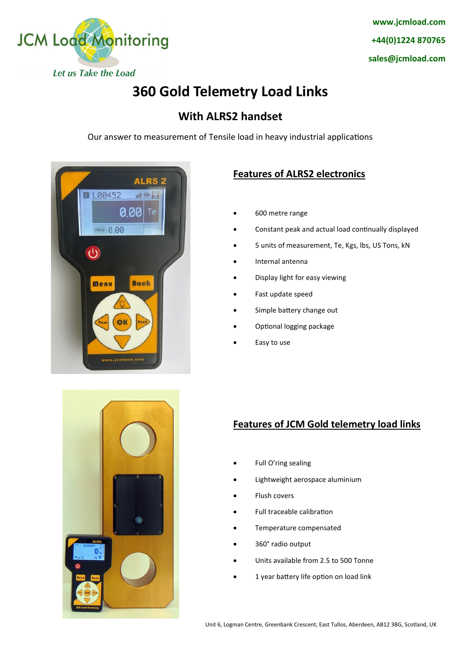

# **360 Gold Telemetry Load Links**

### **With ALRS2 handset**

Our answer to measurement of Tensile load in heavy industrial applications





#### **Features of ALRS2 electronics**

- 600 metre range
- Constant peak and actual load continually displayed
- 5 units of measurement, Te, Kgs, lbs, US Tons, kN
- Internal antenna
- Display light for easy viewing
- Fast update speed
- Simple battery change out
- Optional logging package
- Easy to use

#### **Features of JCM Gold telemetry load links**

- Full O'ring sealing
- Lightweight aerospace aluminium
- Flush covers
- Full traceable calibration
- Temperature compensated
- 360° radio output
- Units available from 2.5 to 500 Tonne
- 1 year battery life option on load link